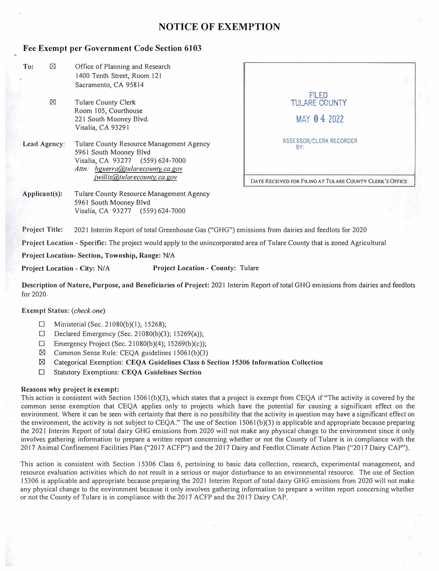## **NOTICE OF EXEMPTION**

### **Fee Exempt per Government Code Section 6103**

| ⊠<br>To:                                                                                                                                                                                          | Office of Planning and Research<br>1400 Tenth Street, Room 121                                                              |                                                                                                  |  |  |  |  |
|---------------------------------------------------------------------------------------------------------------------------------------------------------------------------------------------------|-----------------------------------------------------------------------------------------------------------------------------|--------------------------------------------------------------------------------------------------|--|--|--|--|
|                                                                                                                                                                                                   | Sacramento, CA 95814                                                                                                        |                                                                                                  |  |  |  |  |
| $\boxtimes$                                                                                                                                                                                       | <b>Tulare County Clerk</b><br>Room 105, Courthouse<br>221 South Mooney Blvd.                                                | <b>FILED</b><br><b>TULARE COUNTY</b><br>MAY 04 2022                                              |  |  |  |  |
|                                                                                                                                                                                                   | Visalia, CA 93291                                                                                                           |                                                                                                  |  |  |  |  |
| Lead Agency:<br>Tulare County Resource Management Agency<br>5961 South Mooney Blvd<br>Visalia, CA 93277 (559) 624-7000<br>Attn: hguerra@tularecounty.ca.gov<br><i>jwillis@tularecounty.ca.gov</i> |                                                                                                                             | ASSESSOR/CLERK RECORDER<br>BY:                                                                   |  |  |  |  |
|                                                                                                                                                                                                   |                                                                                                                             | DATE RECEIVED FOR FILING AT TULARE COUNTY CLERK'S OFFICE                                         |  |  |  |  |
| Applicant(s):                                                                                                                                                                                     | Tulare County Resource Management Agency<br>5961 South Mooney Blvd<br>Visalia, CA 93277 (559) 624-7000                      |                                                                                                  |  |  |  |  |
| <b>Project Title:</b>                                                                                                                                                                             |                                                                                                                             | 2021 Interim Report of total Greenhouse Gas ("GHG") emissions from dairies and feedlots for 2020 |  |  |  |  |
|                                                                                                                                                                                                   | Project Location - Specific: The project would apply to the unincorporated area of Tulare County that is zoned Agricultural |                                                                                                  |  |  |  |  |
|                                                                                                                                                                                                   | Project Location-Section, Township, Range: N/A                                                                              |                                                                                                  |  |  |  |  |
|                                                                                                                                                                                                   |                                                                                                                             |                                                                                                  |  |  |  |  |

Project Location - City: *N/A* Project Location - County: Tulare

Description of Nature, Purpose, and Beneficiaries of Project: 2021 Interim Report of total GHG emissions from dairies and feedlots for 2020.

#### **Exempt Status:** *(check one)*

- D Ministerial (Sec. 21080(b)(l); 15268);
- D Declared Emergency (Sec. 21080(b)(3); 15269(a));
- $\Box$  Emergency Project (Sec. 21080(b)(4); 15269(b)(c));
- $\boxtimes$  Common Sense Rule: CEQA guidelines 15061(b)(3)
- t8l Categorical Exemption: **CEQA Guidelines Class** *6* **Section 15306 Information Collection**
- D Statutory Exemptions: **CEQA Guidelines Section**

#### **Reasons why project is exempt:**

This action is consistent with Section 15061(b)(3), which states that a project is exempt from CEQA if"The activity is covered by the common sense exemption that CEQA applies only to projects which have the potential for causing a significant effect on the environment. Where it can be seen with certainty that there is no possibility that the activity in question may have a significant effect on the environment, the activity is not subject to CEQA." The use of Section 15061 (b)(3) is applicable and appropriate because preparing the 2021 Interim Report of total dairy GHG emissions from 2020 will not make any physical change to the environment since it only involves gathering information to prepare a written report concerning whether or not the County of Tulare is in compliance with the 2017 Animal Confinement Facilities Plan ("2017 ACFP") and the 2017 Dairy and Feedlot Climate Action Plan ("2017 Dairy CAP").

This action is consistent with Section 15306 Class 6, pertaining to basic data collection, research, experimental management, and resource evaluation activities which do not result in a serious or major disturbance to an environmental resource. The use of Section 15306 is applicable and appropriate because preparing the 2021 Interim Report of total dairy GHG emissions from 2020 will not make any physical change to the environment because it only involves gathering information to prepare a written report concerning whether or not the County of Tulare is in compliance with the 2017 ACFP and the 2017 Dairy CAP.